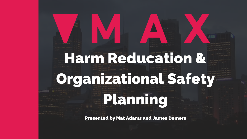# Harm Reducation & Organizational Safety Planning

Presented by Mat Adams and James Demers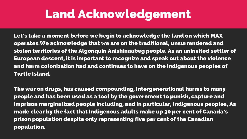## Land Acknowledgement

Let's take a moment before we begin to acknowledge the land on which MAX operates.We acknowledge that we are on the traditional, unsurrendered and stolen territories of the Algonquin Anishinaabeg people. As an uninvited settler of European descent, it is important to recognize and speak out about the violence and harm colonization had and continues to have on the Indigenous peoples of Turtle Island.

The war on drugs, has caused compounding, intergenerational harms to many people and has been used as a tool by the government to punish, capture and imprison marginalized people including, and in particular, Indigenous peoples, As made clear by the fact that Indigenous adults make up 30 per cent of Canada's prison population despite only representing five per cent of the Canadian population.

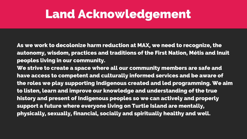## Land Acknowledgement

As we work to decolonize harm reduction at MAX, we need to recognize, the autonomy, wisdom, practices and traditions of the First Nation, Métis and Inuit peoples living in our community.

We strive to create a space where all our community members are safe and have access to competent and culturally informed services and be aware of the roles we play supporting Indigenous created and led programming. We aim to listen, learn and improve our knowledge and understanding of the true history and present of Indigenous peoples so we can actively and properly support a future where everyone living on Turtle Island are mentally, physically, sexually, financial, socially and spiritually healthy and well.

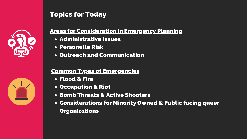- Administrative Issues
- **Personelle Risk**
- Outreach and Communication

- Flood & Fire
- **Occupation & Riot**
- Bomb Threats & Active Shooters
- Considerations for Minority Owned & Public facing queer **Organizations**







### Topics for Today

### Areas for Consideration in Emergency Planning

### Common Types of Emergencies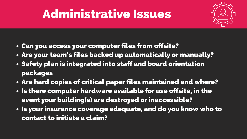- Can you access your computer files from offsite?
- Are your team's files backed up automatically or manually?
- Safety plan is integrated into staff and board orientation packages
- Are hard copies of critical paper files maintained and where?
- . Is there computer hardware available for use offsite, in the event your building(s) are destroyed or inaccessible?
- Is your insurance coverage adequate, and do you know who to contact to initiate a claim?





## Administrative Issues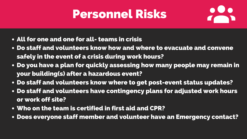- All for one and one for all- teams in crisis
- Do staff and volunteers know how and where to evacuate and convene safely in the event of a crisis during work hours?
- Do you have a plan for quickly assessing how many people may remain in your building(s) after a hazardous event?
- Do staff and volunteers know where to get post-event status updates? Do staff and volunteers have contingency plans for adjusted work hours
- or work off site?
- Who on the team is certified in first aid and CPR?
- Does everyone staff member and volunteer have an Emergency contact?





## Personnel Risks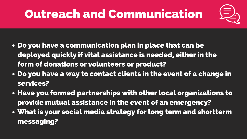- Do you have a communication plan in place that can be deployed quickly if vital assistance is needed, either in the form of donations or volunteers or product?
- Do you have a way to contact clients in the event of a change in services?
- Have you formed partnerships with other local organizations to provide mutual assistance in the event of an emergency?
- What is your social media strategy for long term and shortterm messaging?





## Outreach and Communication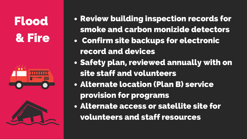Flood & Fire





smoke and carbon monizide detectors

- Review building inspection records for
- Confirm site backups for electronic record and devices
- Safety plan, reviewed annually with on site staff and volunteers
- Alternate location (Plan B) service provision for programs
- Alternate access or satellite site for volunteers and staff resources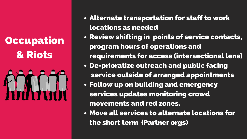## Occupation & Riots



# Alternate transportation for staff to work

- locations as needed
- Review shifting in points of service contacts, program hours of operations and requirements for access (intersectional lens)
- De-prioratize outreach and public facing service outside of arranged appointments
- Follow up on building and emergency services updates monitoring crowd
	- movements and red zones.
- Move all services to alternate locations for the short term (Partner orgs)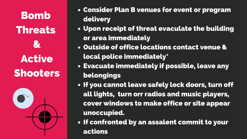Bomb Threats & Active Shooters



### Upon receipt of threat evaculate the building

- Consider Plan B venues for event or program delivery
- or area immediately
- Outside of office locations contact venue & local police immediately\* Evacuate immediately if possible, leave any
- belongings
- If you cannot leave safely lock doors, turn off all lights, turn orr radios and music players, cover windows to make office or site appear unoccupied.
- . If confronted by an assalent commit to your actions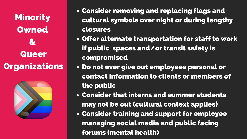cultural symbols over night or during lengthy

Offer alternate transportation for staff to work

Minority **Owned**  $\mathbf{z}$ **Queer Organizations** 



- Consider removing and replacing flags and closures
- if public spaces and/or transit safety is compromised
- Do not ever give out employees personal or the public
- Consider that interns and summer students may not be out (cultural context applies)
- Consider training and support for employee managing social media and public facing forums (mental health)

contact information to clients or members of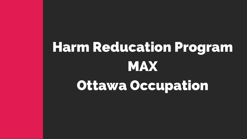# Harm Reducation Program MAX Ottawa Occupation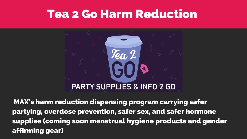## Tea 2 Go Harm Reduction

Tea 2

## **PARTY SUPPLIES & INFO 2 GO**

MAX's harm reduction dispensing program carrying safer partying, overdose prevention, safer sex, and safer hormone supplies (coming soon menstrual hygiene products and gender affirming gear)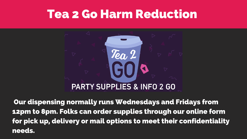## Tea 2 Go Harm Reduction

Tea 2

## **PARTY SUPPLIES & INFO 2 GO**

Our dispensing normally runs Wednesdays and Fridays from 12pm to 8pm. Folks can order supplies through our online form for pick up, delivery or mail options to meet their confidentiality needs.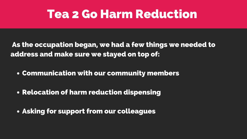## Tea 2 Go Harm Reduction

- As the occupation began, we had a few things we needed to address and make sure we stayed on top of:
	- Communication with our community members
	- Relocation of harm reduction dispensing
	- Asking for support from our colleagues

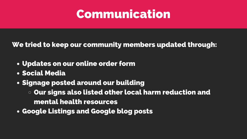

- Updates on our online order form
- Social Media
- Signage posted around our building
	- $\circ$  Our signs also listed other local harm reduction and mental health resources
- Google Listings and Google blog posts

### We tried to keep our community members updated through: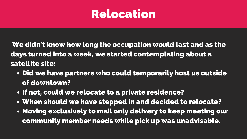## Relocation

- Did we have partners who could temporarily host us outside of downtown?
- If not, could we relocate to a private residence?
- When should we have stepped in and decided to relocate?
- Moving exclusively to mail only delivery to keep meeting our community member needs while pick up was unadvisable.

We didn't know how long the occupation would last and as the days turned into a week, we started contemplating about a satellite site: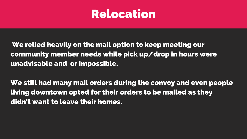## Relocation

We relied heavily on the mail option to keep meeting our community member needs while pick up/drop in hours were unadvisable and or impossible.

We still had many mail orders during the convoy and even people living downtown opted for their orders to be mailed as they didn't want to leave their homes.

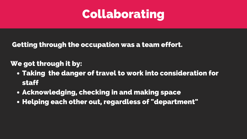## Collaborating

- Taking the danger of travel to work into consideration for staff
- Acknowledging, checking in and making space
- Helping each other out, regardless of "department"



### Getting through the occupation was a team effort.

### We got through it by: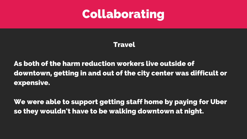

### **Travel**

As both of the harm reduction workers live outside of downtown, getting in and out of the city center was difficult or expensive.

We were able to support getting staff home by paying for Uber so they wouldn't have to be walking downtown at night.

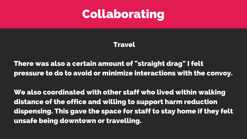

### **Travel**

There was also a certain amount of "straight drag" I felt pressure to do to avoid or minimize interactions with the convoy.

We also coordinated with other staff who lived within walking distance of the office and willing to support harm reduction dispensing. This gave the space for staff to stay home if they felt unsafe being downtown or travelling.

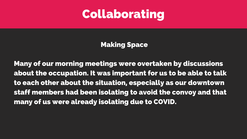## Collaborating

### Making Space

Many of our morning meetings were overtaken by discussions about the occupation. It was important for us to be able to talk to each other about the situation, especially as our downtown staff members had been isolating to avoid the convoy and that many of us were already isolating due to COVID.

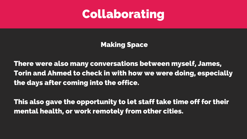## Collaborating

### Making Space

There were also many conversations between myself, James, Torin and Ahmed to check in with how we were doing, especially the days after coming into the office.

This also gave the opportunity to let staff take time off for their mental health, or work remotely from other cities.

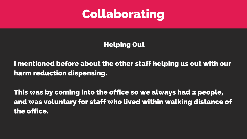

### Helping Out

I mentioned before about the other staff helping us out with our harm reduction dispensing.

This was by coming into the office so we always had 2 people, and was voluntary for staff who lived within walking distance of the office.

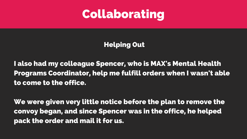## Collaborating

### Helping Out

I also had my colleague Spencer, who is MAX's Mental Health Programs Coordinator, help me fulfill orders when I wasn't able to come to the office.

We were given very little notice before the plan to remove the convoy began, and since Spencer was in the office, he helped pack the order and mail it for us.

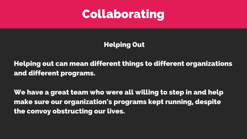

### Helping Out

Helping out can mean different things to different organizations and different programs.

We have a great team who were all willing to step in and help make sure our organization's programs kept running, despite the convoy obstructing our lives.

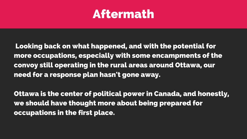## Aftermath

Looking back on what happened, and with the potential for more occupations, especially with some encampments of the convoy still operating in the rural areas around Ottawa, our need for a response plan hasn't gone away.

Ottawa is the center of political power in Canada, and honestly, we should have thought more about being prepared for occupations in the first place.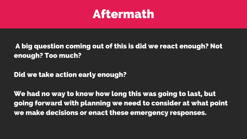## Aftermath

### A big question coming out of this is did we react enough? Not enough? Too much?

Did we take action early enough?

We had no way to know how long this was going to last, but going forward with planning we need to consider at what point we make decisions or enact these emergency responses.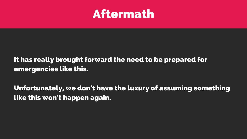## Aftermath

### It has really brought forward the need to be prepared for emergencies like this.

Unfortunately, we don't have the luxury of assuming something like this won't happen again.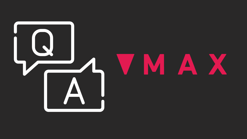